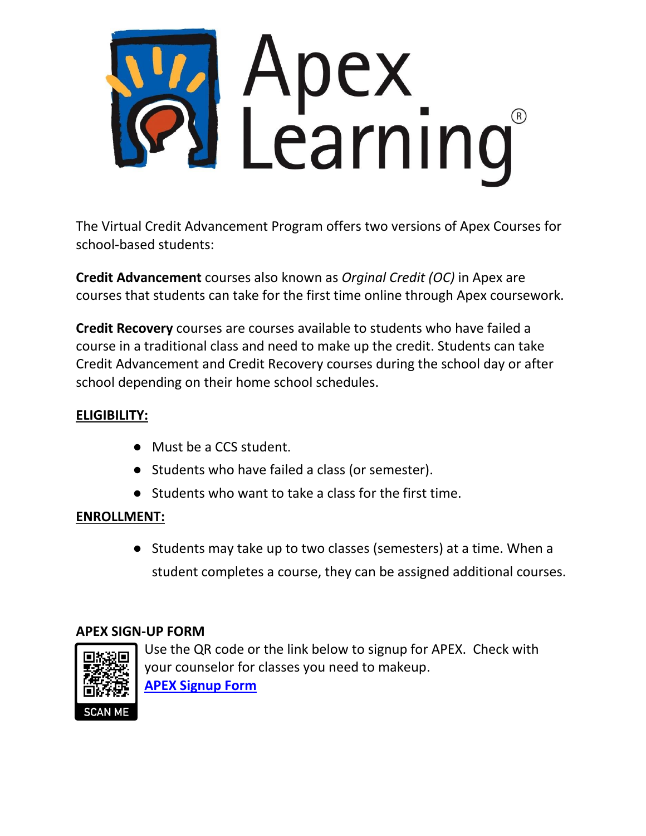

The Virtual Credit Advancement Program offers two versions of Apex Courses for school-based students:

**Credit Advancement** courses also known as *Orginal Credit (OC)* in Apex are courses that students can take for the first time online through Apex coursework.

**Credit Recovery** courses are courses available to students who have failed a course in a traditional class and need to make up the credit. Students can take Credit Advancement and Credit Recovery courses during the school day or after school depending on their home school schedules.

## **ELIGIBILITY:**

- Must be a CCS student.
- Students who have failed a class (or semester).
- Students who want to take a class for the first time.

#### **ENROLLMENT:**

● Students may take up to two classes (semesters) at a time. When a student completes a course, they can be assigned additional courses.

### **APEX SIGN-UP FORM**



Use the QR code or the link below to signup for APEX. Check with your counselor for classes you need to makeup. **[APEX Signup Form](https://forms.gle/EBsQTCYqHW7CX8qN6)**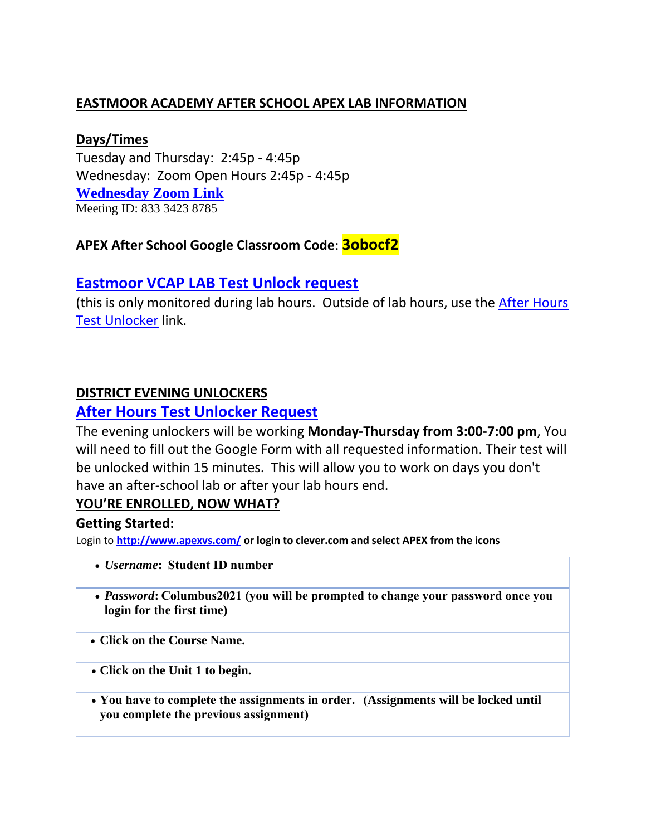### **EASTMOOR ACADEMY AFTER SCHOOL APEX LAB INFORMATION**

#### **Days/Times**

Tuesday and Thursday: 2:45p - 4:45p Wednesday: Zoom Open Hours 2:45p - 4:45p **[Wednesday Zoom Link](https://ccsoh-us.zoom.us/j/83334238785)** Meeting ID: 833 3423 8785

# **APEX After School Google Classroom Code**: **3obocf2**

### **[Eastmoor VCAP LAB Test Unlock request](https://forms.gle/UxnYQQ2mZULoD4TdA)**

(this is only monitored during lab hours. Outside of lab hours, use the [After Hours](https://docs.google.com/forms/d/e/1FAIpQLSf34SdPDoouxd2_8H9tNhMDPrkWXL5BDNygY1mIQqruC7T98A/viewform?usp=sf_link)  [Test Unlocker](https://docs.google.com/forms/d/e/1FAIpQLSf34SdPDoouxd2_8H9tNhMDPrkWXL5BDNygY1mIQqruC7T98A/viewform?usp=sf_link) link.

#### **DISTRICT EVENING UNLOCKERS**

#### **[After Hours Test Unlocker Request](https://docs.google.com/forms/d/e/1FAIpQLSf34SdPDoouxd2_8H9tNhMDPrkWXL5BDNygY1mIQqruC7T98A/viewform?usp=sf_link)**

The evening unlockers will be working **Monday-Thursday from 3:00-7:00 pm**, You will need to fill out the Google Form with all requested information. Their test will be unlocked within 15 minutes. This will allow you to work on days you don't have an after-school lab or after your lab hours end.

#### **YOU'RE ENROLLED, NOW WHAT?**

#### **Getting Started:**

Login to **<http://www.apexvs.com/> or login to clever.com and select APEX from the icons**

- *Username***:  Student ID number**
- *Password***: Columbus2021 (you will be prompted to change your password once you login for the first time)**
- **Click on the Course Name.**
- **Click on the Unit 1 to begin.**
- **You have to complete the assignments in order.   (Assignments will be locked until you complete the previous assignment)**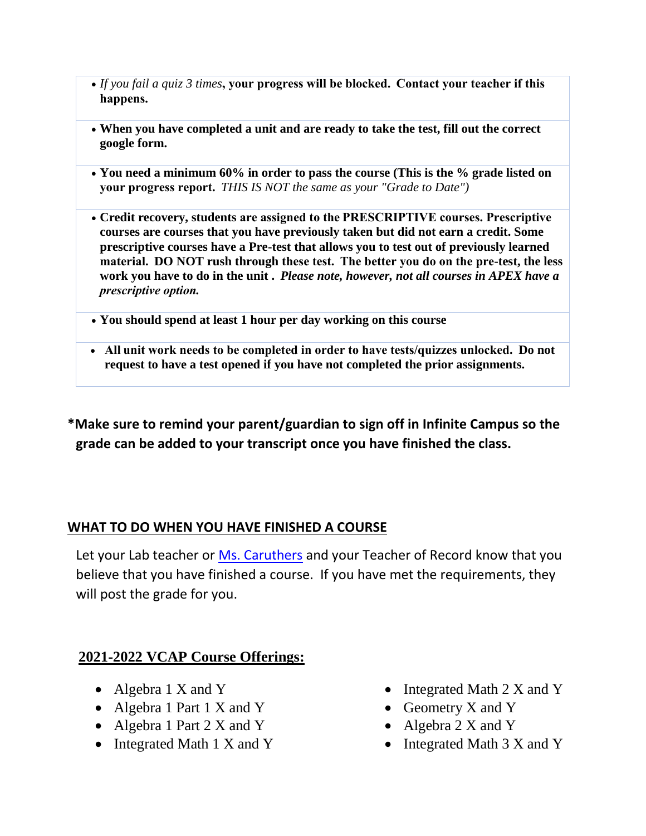- *If you fail a quiz 3 times***, your progress will be blocked.  Contact your teacher if this happens.**
- **When you have completed a unit and are ready to take the test, fill out the correct google form.**
- **You need a minimum 60% in order to pass the course (This is the % grade listed on your progress report.** *THIS IS NOT the same as your "Grade to Date")*
- **Credit recovery, students are assigned to the PRESCRIPTIVE courses. Prescriptive courses are courses that you have previously taken but did not earn a credit. Some prescriptive courses have a Pre-test that allows you to test out of previously learned material.  DO NOT rush through these test.  The better you do on the pre-test, the less work you have to do in the unit .** *Please note, however, not all courses in APEX have a prescriptive option.*
- **You should spend at least 1 hour per day working on this course**
- **All unit work needs to be completed in order to have tests/quizzes unlocked.  Do not request to have a test opened if you have not completed the prior assignments.**

**\*Make sure to remind your parent/guardian to sign off in Infinite Campus so the grade can be added to your transcript once you have finished the class.**

#### **WHAT TO DO WHEN YOU HAVE FINISHED A COURSE**

Let your Lab teacher or [Ms. Caruthers](mailto:acaruthers1645@columbus.k12.oh.us) and your Teacher of Record know that you believe that you have finished a course. If you have met the requirements, they will post the grade for you.

### **2021-2022 VCAP Course Offerings:**

- Algebra 1 X and Y
- Algebra 1 Part 1 X and Y
- Algebra 1 Part 2 X and Y
- Integrated Math 1 X and Y
- Integrated Math 2 X and Y
- Geometry X and Y
- Algebra 2 X and Y
- Integrated Math 3 X and Y